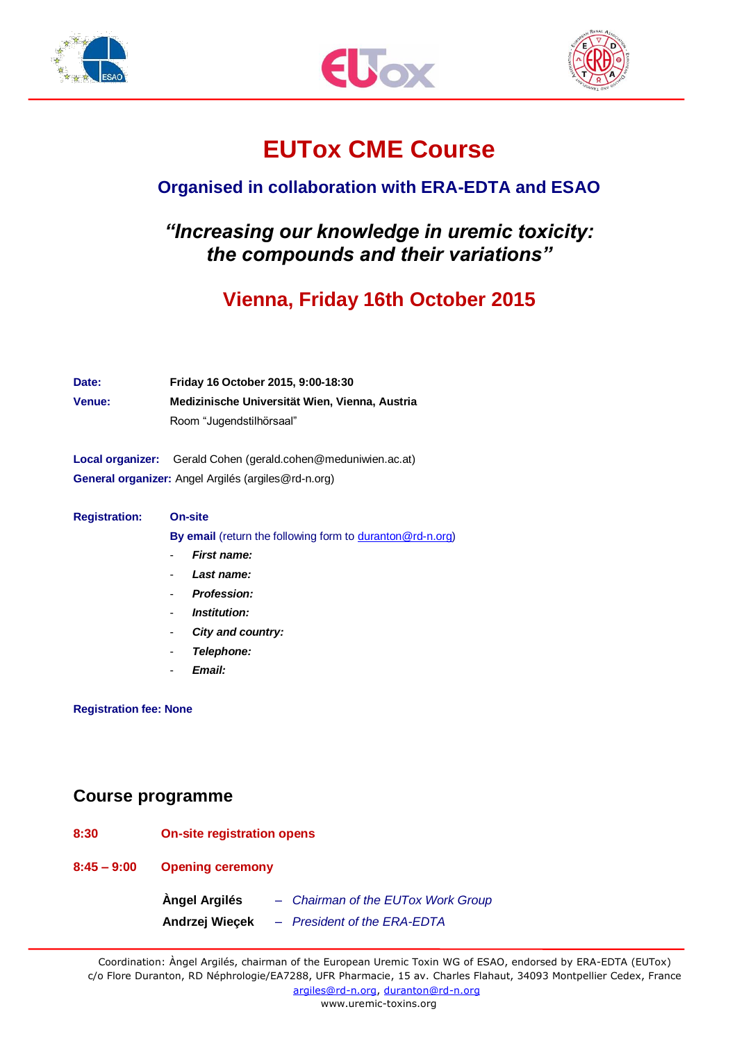





# **EUTox CME Course**

## **Organised in collaboration with ERA-EDTA and ESAO**

## *"Increasing our knowledge in uremic toxicity: the compounds and their variations"*

# **Vienna, Friday 16th October 2015**

| Date:  | Friday 16 October 2015, 9:00-18:30             |  |
|--------|------------------------------------------------|--|
| Venue: | Medizinische Universität Wien, Vienna, Austria |  |
|        | Room "Jugendstilhörsaal"                       |  |

**Local organizer:** Gerald Cohen [\(gerald.cohen@meduniwien.ac.at\)](mailto:gerald.cohen@meduniwien.ac.at) **General organizer:** Angel Argilés (argiles@rd-n.org)

#### **Registration: On-site By email** (return the following form to **duranton@rd-n.org**)

- *First name:*
- *Last name:*
- *Profession:*
- *Institution:*
- *City and country:*
- *Telephone:*
- *Email:*

#### **Registration fee: None**

## **Course programme**

| 8:30          | <b>On-site registration opens</b> |                                                                   |  |
|---------------|-----------------------------------|-------------------------------------------------------------------|--|
| $8:45 - 9:00$ | <b>Opening ceremony</b>           |                                                                   |  |
|               | Àngel Argilés<br>Andrzej Wiecek   | - Chairman of the EUTox Work Group<br>- President of the ERA-EDTA |  |

Coordination: Àngel Argilés, chairman of the European Uremic Toxin WG of ESAO, endorsed by ERA-EDTA (EUTox) c/o Flore Duranton, RD Néphrologie/EA7288, UFR Pharmacie, 15 av. Charles Flahaut, 34093 Montpellier Cedex, France [argiles@rd-n.org,](mailto:argiles@rd-n.org) [duranton@rd-n.org](mailto:duranton@rd-n.org) 

www.uremic-toxins.org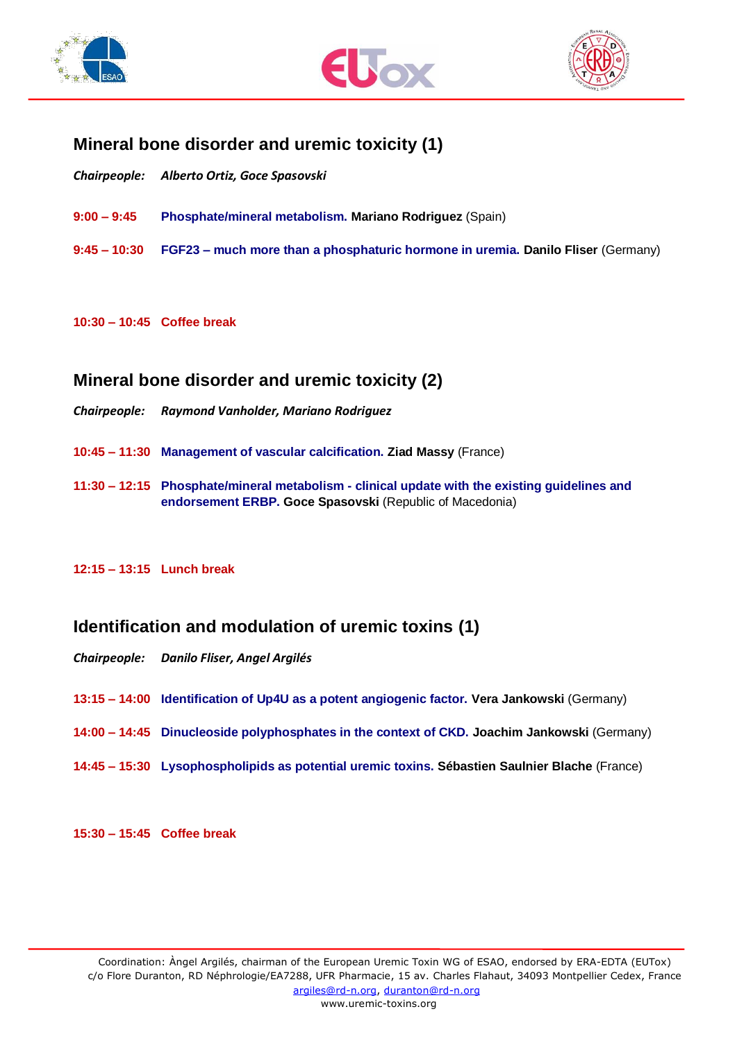





## **Mineral bone disorder and uremic toxicity (1)**

- *Chairpeople: Alberto Ortiz, Goce Spasovski*
- **9:00 – 9:45 Phosphate/mineral metabolism. Mariano Rodriguez** (Spain)
- **9:45 – 10:30 FGF23 – much more than a phosphaturic hormone in uremia. Danilo Fliser** (Germany)

#### **10:30 – 10:45 Coffee break**

### **Mineral bone disorder and uremic toxicity (2)**

- *Chairpeople: Raymond Vanholder, Mariano Rodriguez*
- **10:45 – 11:30 Management of vascular calcification. Ziad Massy** (France)
- **11:30 – 12:15 Phosphate/mineral metabolism - clinical update with the existing guidelines and endorsement ERBP. Goce Spasovski** (Republic of Macedonia)

#### **12:15 – 13:15 Lunch break**

## **Identification and modulation of uremic toxins (1)**

- *Chairpeople: Danilo Fliser, Angel Argilés*
- **13:15 – 14:00 Identification of Up4U as a potent angiogenic factor. Vera Jankowski** (Germany)
- **14:00 – 14:45 Dinucleoside polyphosphates in the context of CKD. Joachim Jankowski** (Germany)
- **14:45 – 15:30 Lysophospholipids as potential uremic toxins. Sébastien Saulnier Blache** (France)

**15:30 – 15:45 Coffee break**